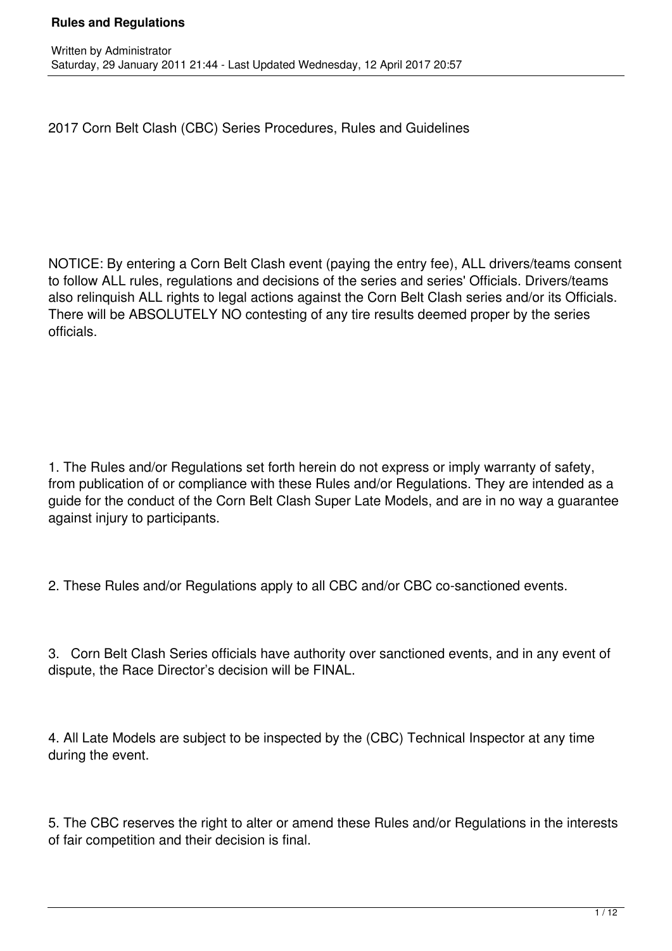2017 Corn Belt Clash (CBC) Series Procedures, Rules and Guidelines

NOTICE: By entering a Corn Belt Clash event (paying the entry fee), ALL drivers/teams consent to follow ALL rules, regulations and decisions of the series and series' Officials. Drivers/teams also relinquish ALL rights to legal actions against the Corn Belt Clash series and/or its Officials. There will be ABSOLUTELY NO contesting of any tire results deemed proper by the series officials.

1. The Rules and/or Regulations set forth herein do not express or imply warranty of safety, from publication of or compliance with these Rules and/or Regulations. They are intended as a guide for the conduct of the Corn Belt Clash Super Late Models, and are in no way a guarantee against injury to participants.

2. These Rules and/or Regulations apply to all CBC and/or CBC co-sanctioned events.

3. Corn Belt Clash Series officials have authority over sanctioned events, and in any event of dispute, the Race Director's decision will be FINAL.

4. All Late Models are subject to be inspected by the (CBC) Technical Inspector at any time during the event.

5. The CBC reserves the right to alter or amend these Rules and/or Regulations in the interests of fair competition and their decision is final.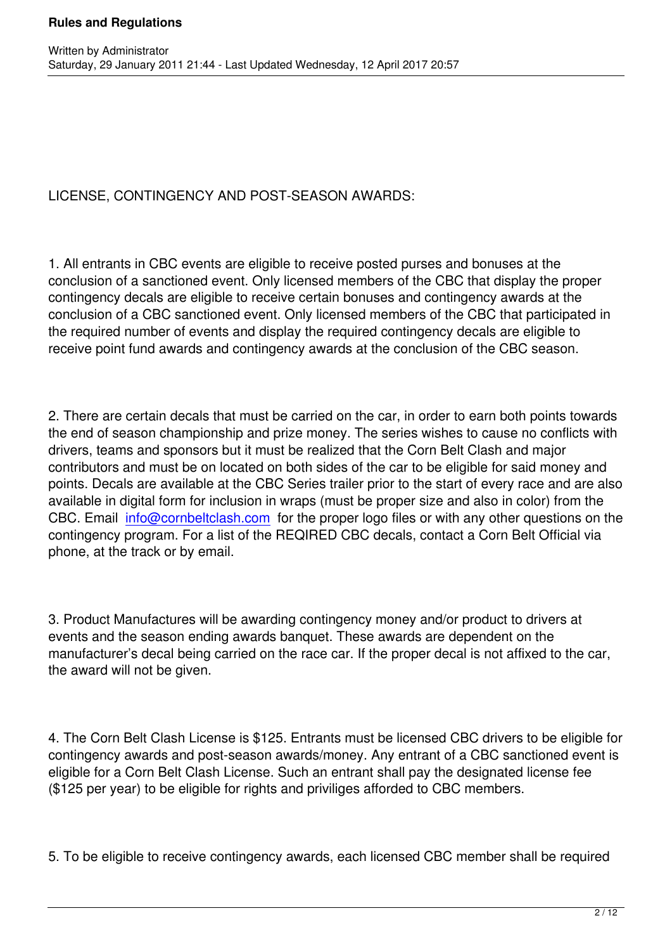Written by Administrator and Administrator and Administrator and Administrator and Administrator and Administrator and Administrator and Administrator and Administrator and Administrator and Administrator and Administrator

LICENSE, CONTINGENCY AND POST-SEASON AWARDS:

1. All entrants in CBC events are eligible to receive posted purses and bonuses at the conclusion of a sanctioned event. Only licensed members of the CBC that display the proper contingency decals are eligible to receive certain bonuses and contingency awards at the conclusion of a CBC sanctioned event. Only licensed members of the CBC that participated in the required number of events and display the required contingency decals are eligible to receive point fund awards and contingency awards at the conclusion of the CBC season.

2. There are certain decals that must be carried on the car, in order to earn both points towards the end of season championship and prize money. The series wishes to cause no conflicts with drivers, teams and sponsors but it must be realized that the Corn Belt Clash and major contributors and must be on located on both sides of the car to be eligible for said money and points. Decals are available at the CBC Series trailer prior to the start of every race and are also available in digital form for inclusion in wraps (must be proper size and also in color) from the CBC. Email info@cornbeltclash.com for the proper logo files or with any other questions on the contingency program. For a list of the REQIRED CBC decals, contact a Corn Belt Official via phone, at the track or by email.

3. Product Manufactures will be awarding contingency money and/or product to drivers at events and the season ending awards banquet. These awards are dependent on the manufacturer's decal being carried on the race car. If the proper decal is not affixed to the car, the award will not be given.

4. The Corn Belt Clash License is \$125. Entrants must be licensed CBC drivers to be eligible for contingency awards and post-season awards/money. Any entrant of a CBC sanctioned event is eligible for a Corn Belt Clash License. Such an entrant shall pay the designated license fee (\$125 per year) to be eligible for rights and priviliges afforded to CBC members.

5. To be eligible to receive contingency awards, each licensed CBC member shall be required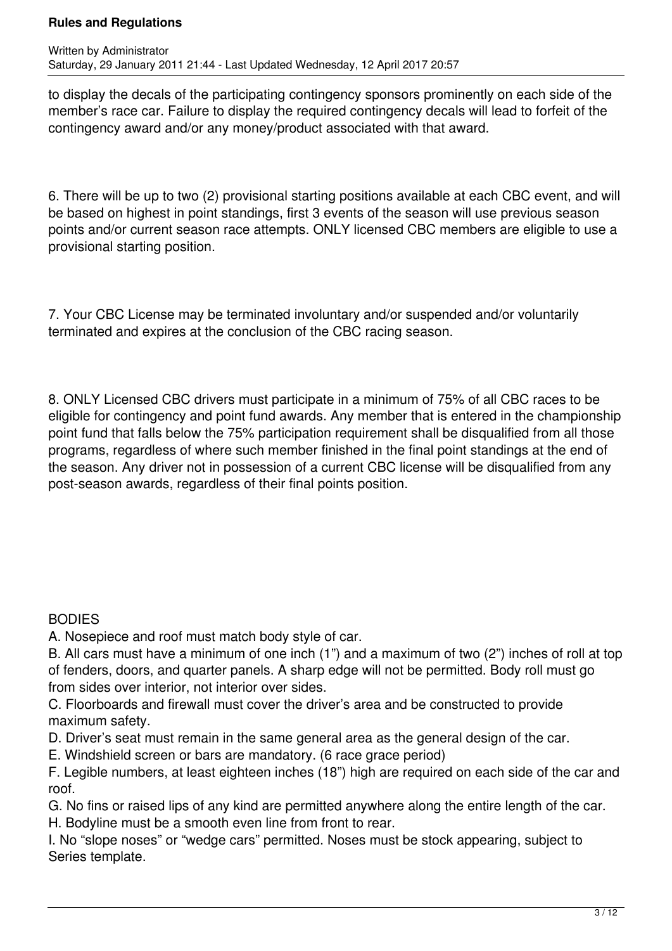to display the decals of the participating contingency sponsors prominently on each side of the member's race car. Failure to display the required contingency decals will lead to forfeit of the contingency award and/or any money/product associated with that award.

6. There will be up to two (2) provisional starting positions available at each CBC event, and will be based on highest in point standings, first 3 events of the season will use previous season points and/or current season race attempts. ONLY licensed CBC members are eligible to use a provisional starting position.

7. Your CBC License may be terminated involuntary and/or suspended and/or voluntarily terminated and expires at the conclusion of the CBC racing season.

8. ONLY Licensed CBC drivers must participate in a minimum of 75% of all CBC races to be eligible for contingency and point fund awards. Any member that is entered in the championship point fund that falls below the 75% participation requirement shall be disqualified from all those programs, regardless of where such member finished in the final point standings at the end of the season. Any driver not in possession of a current CBC license will be disqualified from any post-season awards, regardless of their final points position.

## **BODIES**

- A. Nosepiece and roof must match body style of car.
- B. All cars must have a minimum of one inch (1") and a maximum of two (2") inches of roll at top of fenders, doors, and quarter panels. A sharp edge will not be permitted. Body roll must go from sides over interior, not interior over sides.
- C. Floorboards and firewall must cover the driver's area and be constructed to provide maximum safety.
- D. Driver's seat must remain in the same general area as the general design of the car.
- E. Windshield screen or bars are mandatory. (6 race grace period)
- F. Legible numbers, at least eighteen inches (18") high are required on each side of the car and roof.
- G. No fins or raised lips of any kind are permitted anywhere along the entire length of the car.
- H. Bodyline must be a smooth even line from front to rear.
- I. No "slope noses" or "wedge cars" permitted. Noses must be stock appearing, subject to Series template.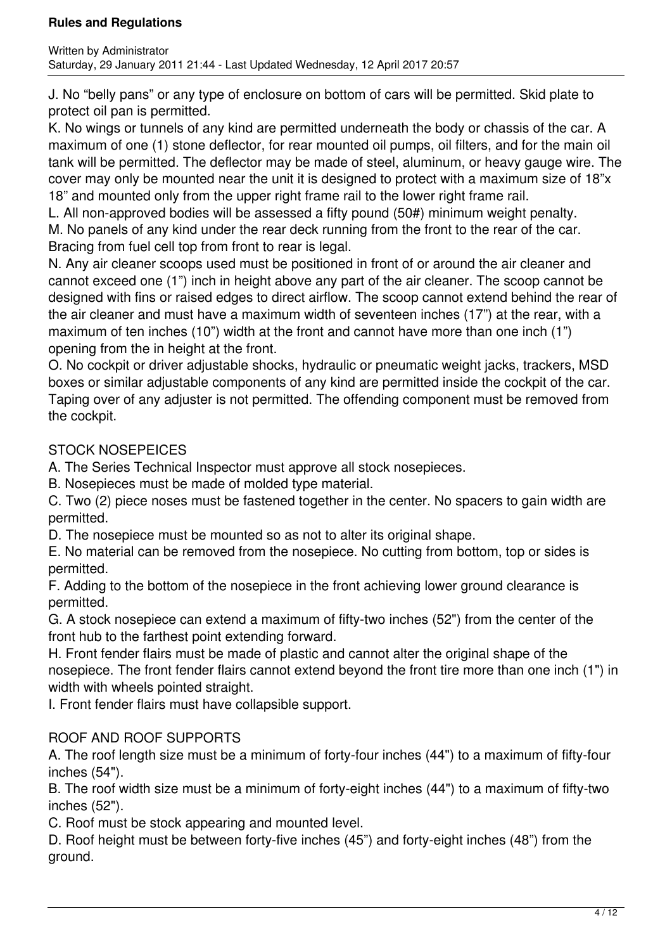J. No "belly pans" or any type of enclosure on bottom of cars will be permitted. Skid plate to protect oil pan is permitted.

K. No wings or tunnels of any kind are permitted underneath the body or chassis of the car. A maximum of one (1) stone deflector, for rear mounted oil pumps, oil filters, and for the main oil tank will be permitted. The deflector may be made of steel, aluminum, or heavy gauge wire. The cover may only be mounted near the unit it is designed to protect with a maximum size of 18"x 18" and mounted only from the upper right frame rail to the lower right frame rail.

L. All non-approved bodies will be assessed a fifty pound (50#) minimum weight penalty. M. No panels of any kind under the rear deck running from the front to the rear of the car. Bracing from fuel cell top from front to rear is legal.

N. Any air cleaner scoops used must be positioned in front of or around the air cleaner and cannot exceed one (1") inch in height above any part of the air cleaner. The scoop cannot be designed with fins or raised edges to direct airflow. The scoop cannot extend behind the rear of the air cleaner and must have a maximum width of seventeen inches (17") at the rear, with a maximum of ten inches (10") width at the front and cannot have more than one inch (1") opening from the in height at the front.

O. No cockpit or driver adjustable shocks, hydraulic or pneumatic weight jacks, trackers, MSD boxes or similar adjustable components of any kind are permitted inside the cockpit of the car. Taping over of any adjuster is not permitted. The offending component must be removed from the cockpit.

# STOCK NOSEPEICES

A. The Series Technical Inspector must approve all stock nosepieces.

B. Nosepieces must be made of molded type material.

C. Two (2) piece noses must be fastened together in the center. No spacers to gain width are permitted.

D. The nosepiece must be mounted so as not to alter its original shape.

E. No material can be removed from the nosepiece. No cutting from bottom, top or sides is permitted.

F. Adding to the bottom of the nosepiece in the front achieving lower ground clearance is permitted.

G. A stock nosepiece can extend a maximum of fifty-two inches (52") from the center of the front hub to the farthest point extending forward.

H. Front fender flairs must be made of plastic and cannot alter the original shape of the nosepiece. The front fender flairs cannot extend beyond the front tire more than one inch (1") in width with wheels pointed straight.

I. Front fender flairs must have collapsible support.

# ROOF AND ROOF SUPPORTS

A. The roof length size must be a minimum of forty-four inches (44") to a maximum of fifty-four inches (54").

B. The roof width size must be a minimum of forty-eight inches (44") to a maximum of fifty-two inches (52").

C. Roof must be stock appearing and mounted level.

D. Roof height must be between forty-five inches (45") and forty-eight inches (48") from the ground.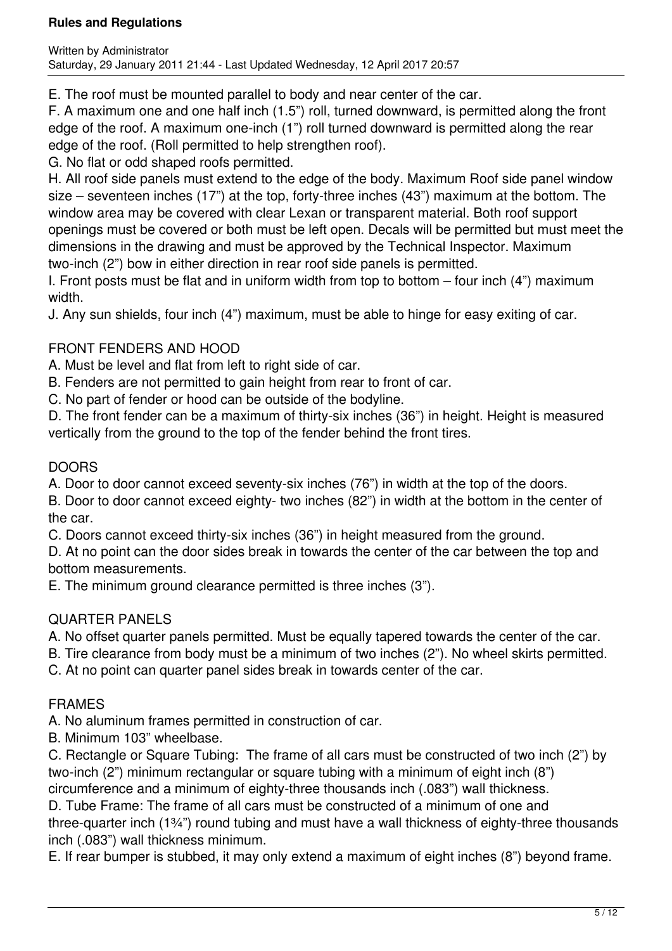E. The roof must be mounted parallel to body and near center of the car.

F. A maximum one and one half inch (1.5") roll, turned downward, is permitted along the front edge of the roof. A maximum one-inch (1") roll turned downward is permitted along the rear edge of the roof. (Roll permitted to help strengthen roof).

G. No flat or odd shaped roofs permitted.

H. All roof side panels must extend to the edge of the body. Maximum Roof side panel window size – seventeen inches (17") at the top, forty-three inches (43") maximum at the bottom. The window area may be covered with clear Lexan or transparent material. Both roof support openings must be covered or both must be left open. Decals will be permitted but must meet the dimensions in the drawing and must be approved by the Technical Inspector. Maximum two-inch (2") bow in either direction in rear roof side panels is permitted.

I. Front posts must be flat and in uniform width from top to bottom – four inch (4") maximum width.

J. Any sun shields, four inch (4") maximum, must be able to hinge for easy exiting of car.

# FRONT FENDERS AND HOOD

A. Must be level and flat from left to right side of car.

B. Fenders are not permitted to gain height from rear to front of car.

C. No part of fender or hood can be outside of the bodyline.

D. The front fender can be a maximum of thirty-six inches (36") in height. Height is measured vertically from the ground to the top of the fender behind the front tires.

# DOORS

A. Door to door cannot exceed seventy-six inches (76") in width at the top of the doors.

B. Door to door cannot exceed eighty- two inches (82") in width at the bottom in the center of the car.

C. Doors cannot exceed thirty-six inches (36") in height measured from the ground.

D. At no point can the door sides break in towards the center of the car between the top and bottom measurements.

E. The minimum ground clearance permitted is three inches (3").

## QUARTER PANELS

A. No offset quarter panels permitted. Must be equally tapered towards the center of the car.

B. Tire clearance from body must be a minimum of two inches (2"). No wheel skirts permitted.

C. At no point can quarter panel sides break in towards center of the car.

# FRAMES

A. No aluminum frames permitted in construction of car.

B. Minimum 103" wheelbase.

C. Rectangle or Square Tubing: The frame of all cars must be constructed of two inch (2") by two-inch (2") minimum rectangular or square tubing with a minimum of eight inch (8") circumference and a minimum of eighty-three thousands inch (.083") wall thickness.

D. Tube Frame: The frame of all cars must be constructed of a minimum of one and

three-quarter inch (1¾") round tubing and must have a wall thickness of eighty-three thousands inch (.083") wall thickness minimum.

E. If rear bumper is stubbed, it may only extend a maximum of eight inches (8") beyond frame.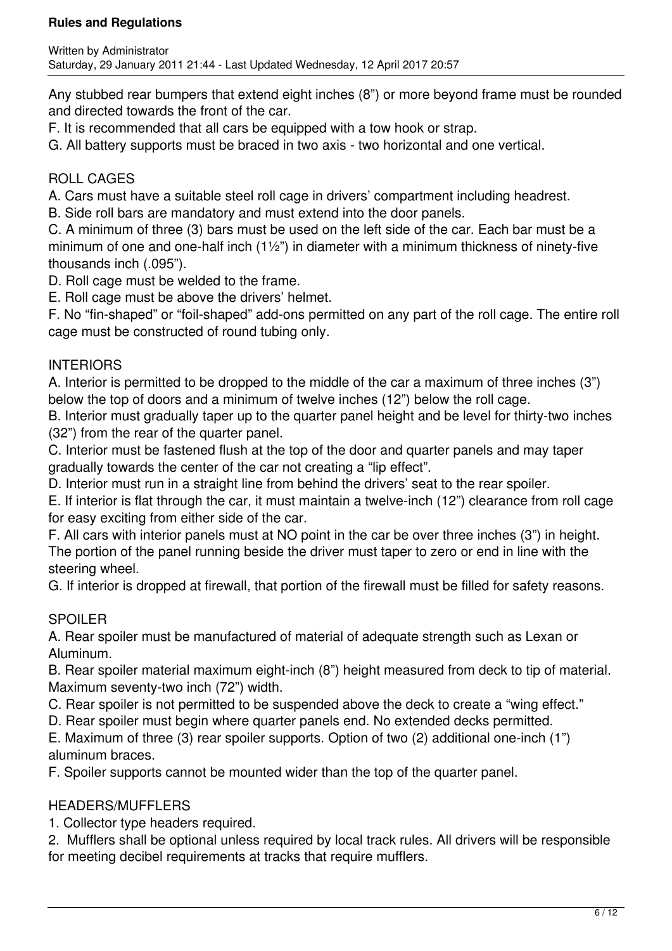Any stubbed rear bumpers that extend eight inches (8") or more beyond frame must be rounded and directed towards the front of the car.

F. It is recommended that all cars be equipped with a tow hook or strap.

G. All battery supports must be braced in two axis - two horizontal and one vertical.

## ROLL CAGES

A. Cars must have a suitable steel roll cage in drivers' compartment including headrest.

B. Side roll bars are mandatory and must extend into the door panels.

C. A minimum of three (3) bars must be used on the left side of the car. Each bar must be a minimum of one and one-half inch (1½") in diameter with a minimum thickness of ninety-five thousands inch (.095").

D. Roll cage must be welded to the frame.

E. Roll cage must be above the drivers' helmet.

F. No "fin-shaped" or "foil-shaped" add-ons permitted on any part of the roll cage. The entire roll cage must be constructed of round tubing only.

## INTERIORS

A. Interior is permitted to be dropped to the middle of the car a maximum of three inches (3") below the top of doors and a minimum of twelve inches (12") below the roll cage.

B. Interior must gradually taper up to the quarter panel height and be level for thirty-two inches (32") from the rear of the quarter panel.

C. Interior must be fastened flush at the top of the door and quarter panels and may taper gradually towards the center of the car not creating a "lip effect".

D. Interior must run in a straight line from behind the drivers' seat to the rear spoiler.

E. If interior is flat through the car, it must maintain a twelve-inch (12") clearance from roll cage for easy exciting from either side of the car.

F. All cars with interior panels must at NO point in the car be over three inches (3") in height. The portion of the panel running beside the driver must taper to zero or end in line with the steering wheel.

G. If interior is dropped at firewall, that portion of the firewall must be filled for safety reasons.

## SPOILER

A. Rear spoiler must be manufactured of material of adequate strength such as Lexan or Aluminum.

B. Rear spoiler material maximum eight-inch (8") height measured from deck to tip of material. Maximum seventy-two inch (72") width.

C. Rear spoiler is not permitted to be suspended above the deck to create a "wing effect."

D. Rear spoiler must begin where quarter panels end. No extended decks permitted.

E. Maximum of three (3) rear spoiler supports. Option of two (2) additional one-inch (1") aluminum braces.

F. Spoiler supports cannot be mounted wider than the top of the quarter panel.

## HEADERS/MUFFLERS

1. Collector type headers required.

2. Mufflers shall be optional unless required by local track rules. All drivers will be responsible for meeting decibel requirements at tracks that require mufflers.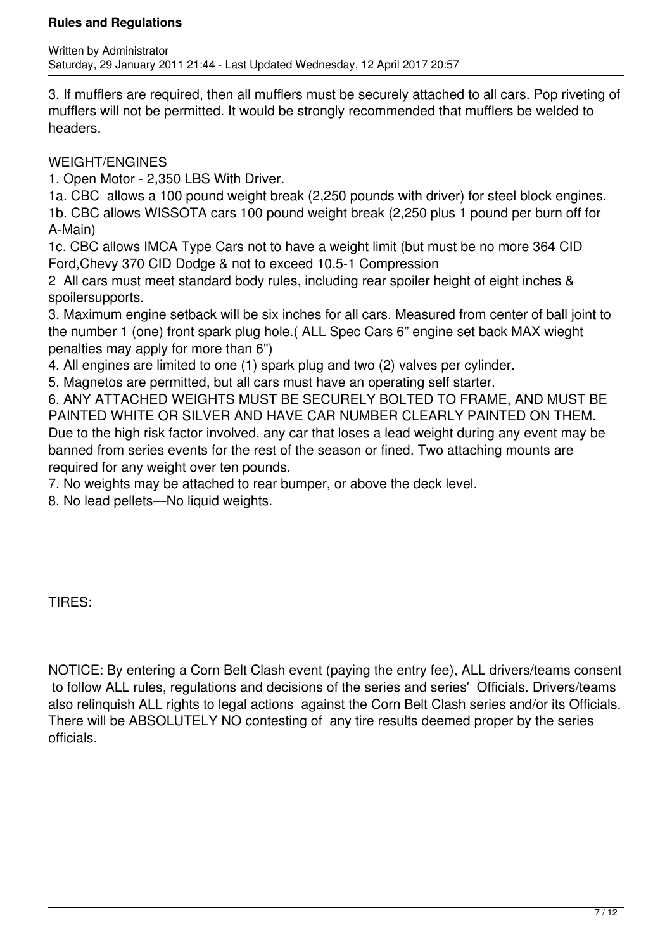3. If mufflers are required, then all mufflers must be securely attached to all cars. Pop riveting of mufflers will not be permitted. It would be strongly recommended that mufflers be welded to headers.

### WEIGHT/ENGINES

1. Open Motor - 2,350 LBS With Driver.

1a. CBC allows a 100 pound weight break (2,250 pounds with driver) for steel block engines. 1b. CBC allows WISSOTA cars 100 pound weight break (2,250 plus 1 pound per burn off for A-Main)

1c. CBC allows IMCA Type Cars not to have a weight limit (but must be no more 364 CID Ford,Chevy 370 CID Dodge & not to exceed 10.5-1 Compression

2 All cars must meet standard body rules, including rear spoiler height of eight inches & spoilersupports.

3. Maximum engine setback will be six inches for all cars. Measured from center of ball joint to the number 1 (one) front spark plug hole.( ALL Spec Cars 6" engine set back MAX wieght penalties may apply for more than 6")

4. All engines are limited to one (1) spark plug and two (2) valves per cylinder.

5. Magnetos are permitted, but all cars must have an operating self starter.

6. ANY ATTACHED WEIGHTS MUST BE SECURELY BOLTED TO FRAME, AND MUST BE PAINTED WHITE OR SILVER AND HAVE CAR NUMBER CLEARLY PAINTED ON THEM. Due to the high risk factor involved, any car that loses a lead weight during any event may be banned from series events for the rest of the season or fined. Two attaching mounts are required for any weight over ten pounds.

7. No weights may be attached to rear bumper, or above the deck level.

8. No lead pellets—No liquid weights.

TIRES:

NOTICE: By entering a Corn Belt Clash event (paying the entry fee), ALL drivers/teams consent to follow ALL rules, regulations and decisions of the series and series' Officials. Drivers/teams also relinquish ALL rights to legal actions against the Corn Belt Clash series and/or its Officials. There will be ABSOLUTELY NO contesting of any tire results deemed proper by the series officials.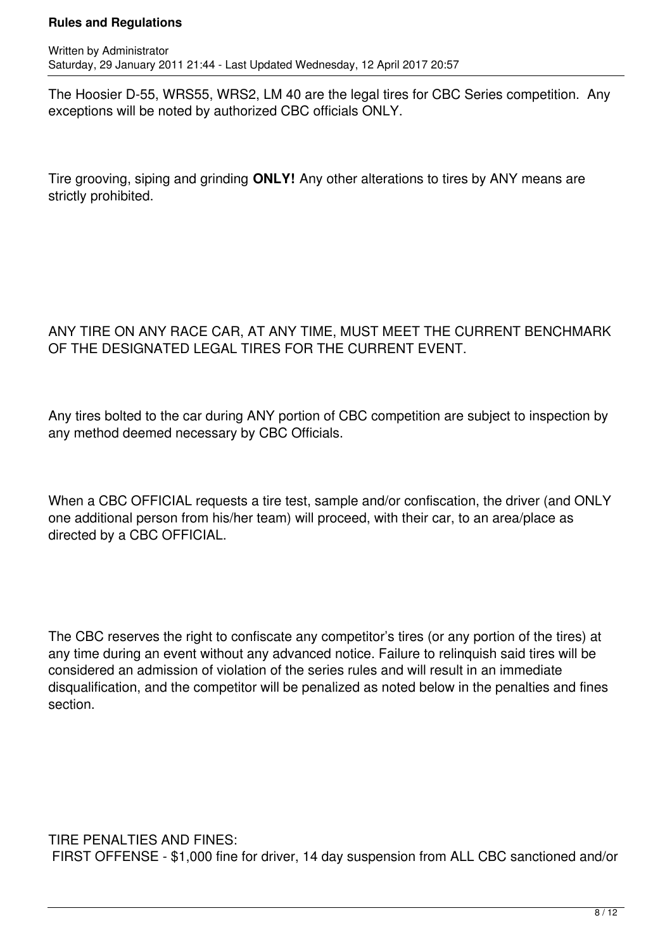The Hoosier D-55, WRS55, WRS2, LM 40 are the legal tires for CBC Series competition. Any exceptions will be noted by authorized CBC officials ONLY.

Tire grooving, siping and grinding **ONLY!** Any other alterations to tires by ANY means are strictly prohibited.

### ANY TIRE ON ANY RACE CAR, AT ANY TIME, MUST MEET THE CURRENT BENCHMARK OF THE DESIGNATED LEGAL TIRES FOR THE CURRENT EVENT.

Any tires bolted to the car during ANY portion of CBC competition are subject to inspection by any method deemed necessary by CBC Officials.

When a CBC OFFICIAL requests a tire test, sample and/or confiscation, the driver (and ONLY one additional person from his/her team) will proceed, with their car, to an area/place as directed by a CBC OFFICIAL.

The CBC reserves the right to confiscate any competitor's tires (or any portion of the tires) at any time during an event without any advanced notice. Failure to relinquish said tires will be considered an admission of violation of the series rules and will result in an immediate disqualification, and the competitor will be penalized as noted below in the penalties and fines section.

TIRE PENALTIES AND FINES: FIRST OFFENSE - \$1,000 fine for driver, 14 day suspension from ALL CBC sanctioned and/or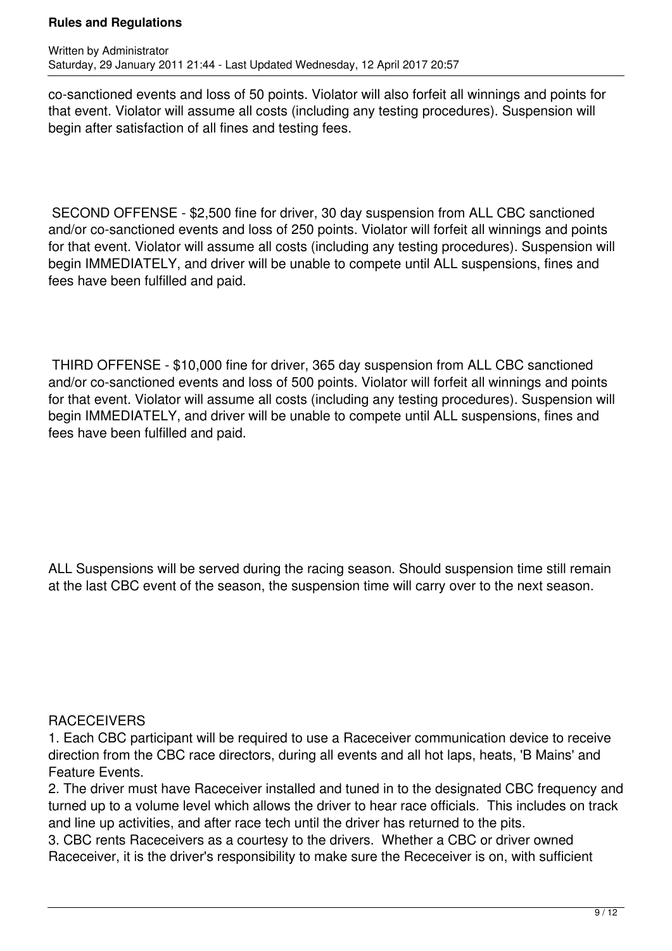co-sanctioned events and loss of 50 points. Violator will also forfeit all winnings and points for that event. Violator will assume all costs (including any testing procedures). Suspension will begin after satisfaction of all fines and testing fees.

 SECOND OFFENSE - \$2,500 fine for driver, 30 day suspension from ALL CBC sanctioned and/or co-sanctioned events and loss of 250 points. Violator will forfeit all winnings and points for that event. Violator will assume all costs (including any testing procedures). Suspension will begin IMMEDIATELY, and driver will be unable to compete until ALL suspensions, fines and fees have been fulfilled and paid.

 THIRD OFFENSE - \$10,000 fine for driver, 365 day suspension from ALL CBC sanctioned and/or co-sanctioned events and loss of 500 points. Violator will forfeit all winnings and points for that event. Violator will assume all costs (including any testing procedures). Suspension will begin IMMEDIATELY, and driver will be unable to compete until ALL suspensions, fines and fees have been fulfilled and paid.

ALL Suspensions will be served during the racing season. Should suspension time still remain at the last CBC event of the season, the suspension time will carry over to the next season.

#### **RACECEIVERS**

1. Each CBC participant will be required to use a Raceceiver communication device to receive direction from the CBC race directors, during all events and all hot laps, heats, 'B Mains' and Feature Events.

2. The driver must have Raceceiver installed and tuned in to the designated CBC frequency and turned up to a volume level which allows the driver to hear race officials. This includes on track and line up activities, and after race tech until the driver has returned to the pits.

3. CBC rents Raceceivers as a courtesy to the drivers. Whether a CBC or driver owned Raceceiver, it is the driver's responsibility to make sure the Receceiver is on, with sufficient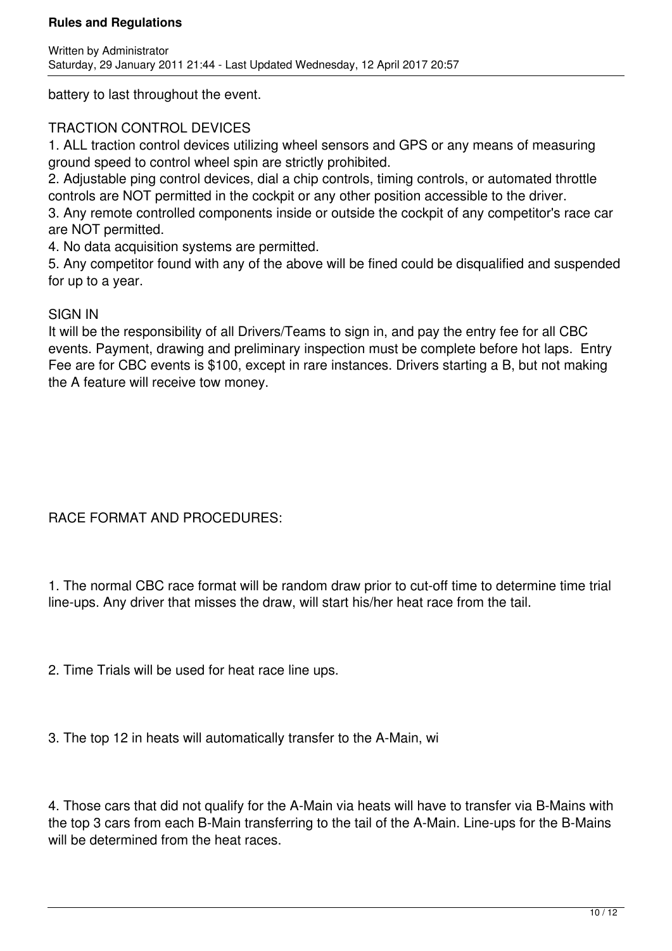battery to last throughout the event.

### TRACTION CONTROL DEVICES

1. ALL traction control devices utilizing wheel sensors and GPS or any means of measuring ground speed to control wheel spin are strictly prohibited.

2. Adjustable ping control devices, dial a chip controls, timing controls, or automated throttle controls are NOT permitted in the cockpit or any other position accessible to the driver.

3. Any remote controlled components inside or outside the cockpit of any competitor's race car are NOT permitted.

4. No data acquisition systems are permitted.

5. Any competitor found with any of the above will be fined could be disqualified and suspended for up to a year.

#### SIGN IN

It will be the responsibility of all Drivers/Teams to sign in, and pay the entry fee for all CBC events. Payment, drawing and preliminary inspection must be complete before hot laps. Entry Fee are for CBC events is \$100, except in rare instances. Drivers starting a B, but not making the A feature will receive tow money.

### RACE FORMAT AND PROCEDURES:

1. The normal CBC race format will be random draw prior to cut-off time to determine time trial line-ups. Any driver that misses the draw, will start his/her heat race from the tail.

2. Time Trials will be used for heat race line ups.

3. The top 12 in heats will automatically transfer to the A-Main, wi

4. Those cars that did not qualify for the A-Main via heats will have to transfer via B-Mains with the top 3 cars from each B-Main transferring to the tail of the A-Main. Line-ups for the B-Mains will be determined from the heat races.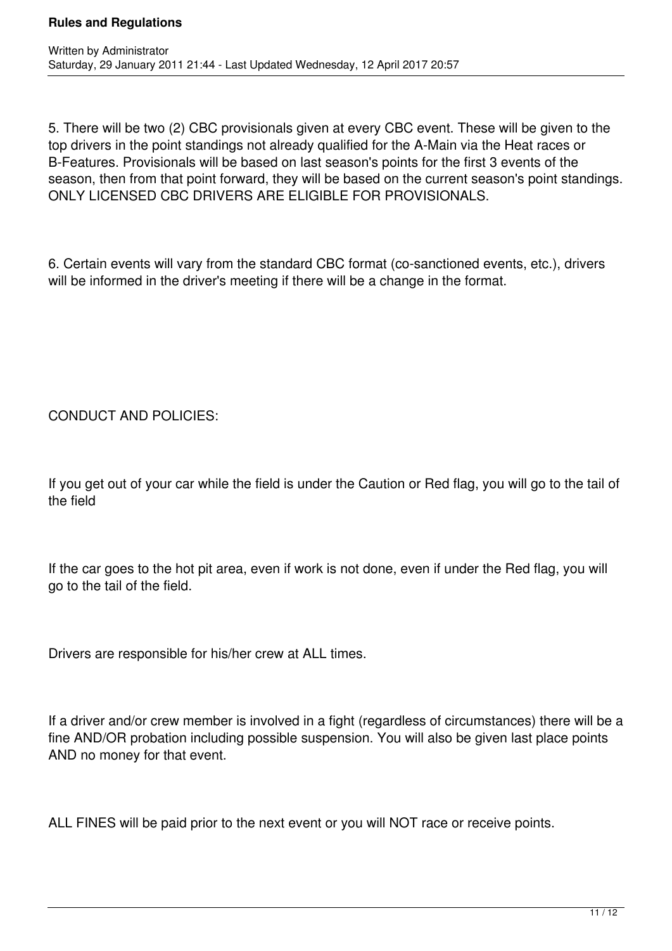5. There will be two (2) CBC provisionals given at every CBC event. These will be given to the top drivers in the point standings not already qualified for the A-Main via the Heat races or B-Features. Provisionals will be based on last season's points for the first 3 events of the season, then from that point forward, they will be based on the current season's point standings. ONLY LICENSED CBC DRIVERS ARE ELIGIBLE FOR PROVISIONALS.

6. Certain events will vary from the standard CBC format (co-sanctioned events, etc.), drivers will be informed in the driver's meeting if there will be a change in the format.

CONDUCT AND POLICIES:

If you get out of your car while the field is under the Caution or Red flag, you will go to the tail of the field

If the car goes to the hot pit area, even if work is not done, even if under the Red flag, you will go to the tail of the field.

Drivers are responsible for his/her crew at ALL times.

If a driver and/or crew member is involved in a fight (regardless of circumstances) there will be a fine AND/OR probation including possible suspension. You will also be given last place points AND no money for that event.

ALL FINES will be paid prior to the next event or you will NOT race or receive points.